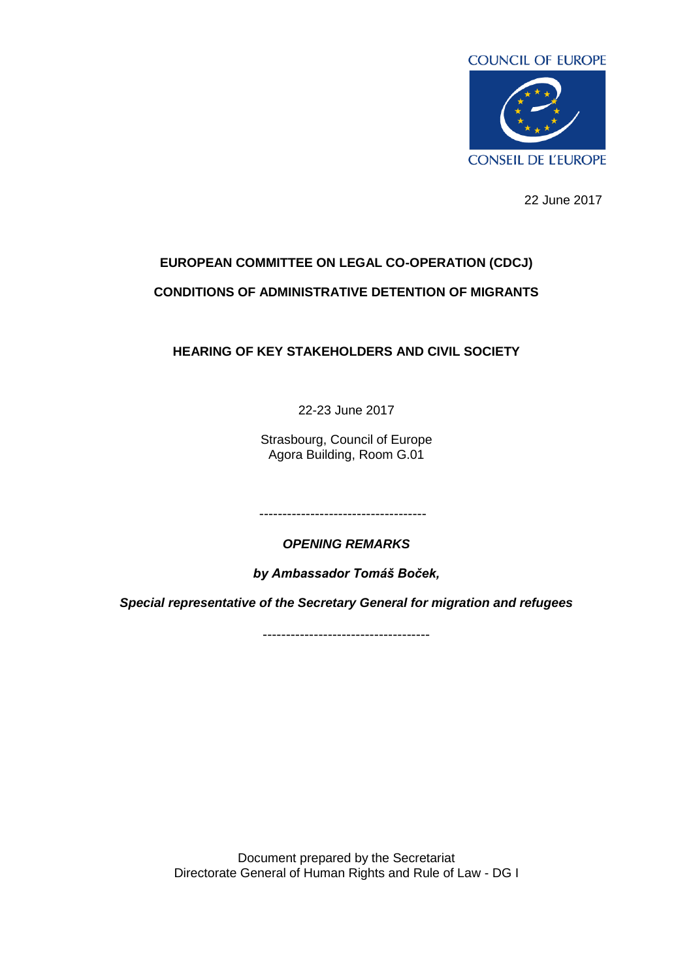

22 June 2017

## **EUROPEAN COMMITTEE ON LEGAL CO-OPERATION (CDCJ) CONDITIONS OF ADMINISTRATIVE DETENTION OF MIGRANTS**

## **HEARING OF KEY STAKEHOLDERS AND CIVIL SOCIETY**

22-23 June 2017

Strasbourg, Council of Europe Agora Building, Room G.01

------------------------------------

*OPENING REMARKS* 

*by Ambassador Tomáš Boček,* 

*Special representative of the Secretary General for migration and refugees*

------------------------------------

Document prepared by the Secretariat Directorate General of Human Rights and Rule of Law - DG I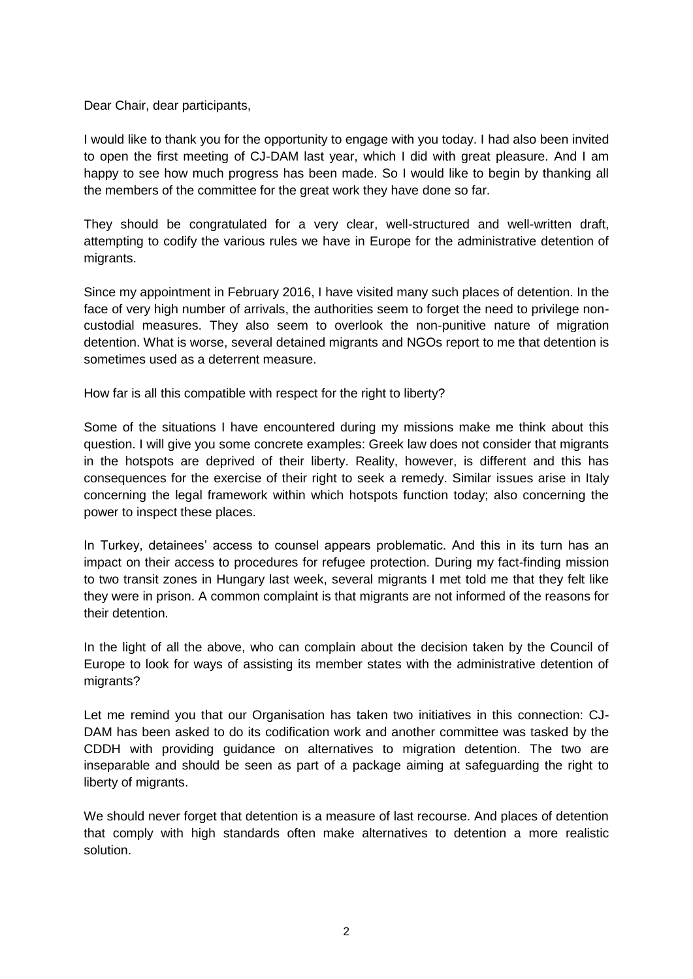Dear Chair, dear participants,

I would like to thank you for the opportunity to engage with you today. I had also been invited to open the first meeting of CJ-DAM last year, which I did with great pleasure. And I am happy to see how much progress has been made. So I would like to begin by thanking all the members of the committee for the great work they have done so far.

They should be congratulated for a very clear, well-structured and well-written draft, attempting to codify the various rules we have in Europe for the administrative detention of migrants.

Since my appointment in February 2016, I have visited many such places of detention. In the face of very high number of arrivals, the authorities seem to forget the need to privilege noncustodial measures. They also seem to overlook the non-punitive nature of migration detention. What is worse, several detained migrants and NGOs report to me that detention is sometimes used as a deterrent measure.

How far is all this compatible with respect for the right to liberty?

Some of the situations I have encountered during my missions make me think about this question. I will give you some concrete examples: Greek law does not consider that migrants in the hotspots are deprived of their liberty. Reality, however, is different and this has consequences for the exercise of their right to seek a remedy. Similar issues arise in Italy concerning the legal framework within which hotspots function today; also concerning the power to inspect these places.

In Turkey, detainees' access to counsel appears problematic. And this in its turn has an impact on their access to procedures for refugee protection. During my fact-finding mission to two transit zones in Hungary last week, several migrants I met told me that they felt like they were in prison. A common complaint is that migrants are not informed of the reasons for their detention.

In the light of all the above, who can complain about the decision taken by the Council of Europe to look for ways of assisting its member states with the administrative detention of migrants?

Let me remind you that our Organisation has taken two initiatives in this connection: CJ-DAM has been asked to do its codification work and another committee was tasked by the CDDH with providing guidance on alternatives to migration detention. The two are inseparable and should be seen as part of a package aiming at safeguarding the right to liberty of migrants.

We should never forget that detention is a measure of last recourse. And places of detention that comply with high standards often make alternatives to detention a more realistic solution.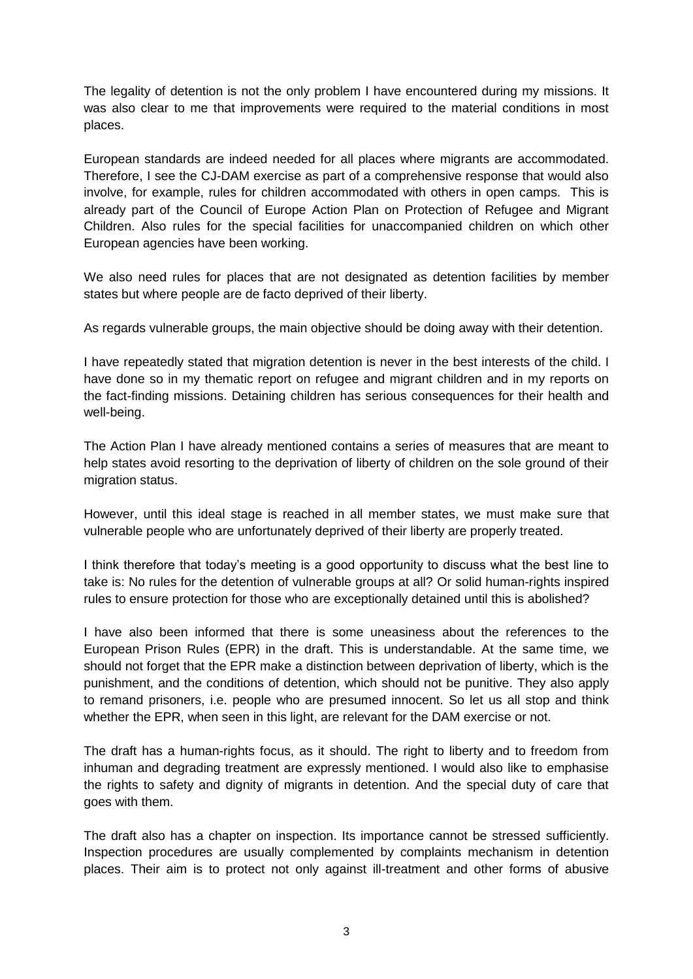The legality of detention is not the only problem I have encountered during my missions. It was also clear to me that improvements were required to the material conditions in most places.

European standards are indeed needed for all places where migrants are accommodated. Therefore, I see the CJ-DAM exercise as part of a comprehensive response that would also involve, for example, rules for children accommodated with others in open camps. This is already part of the Council of Europe Action Plan on Protection of Refugee and Migrant Children. Also rules for the special facilities for unaccompanied children on which other European agencies have been working.

We also need rules for places that are not designated as detention facilities by member states but where people are de facto deprived of their liberty.

As regards vulnerable groups, the main objective should be doing away with their detention.

I have repeatedly stated that migration detention is never in the best interests of the child. I have done so in my thematic report on refugee and migrant children and in my reports on the fact-finding missions. Detaining children has serious consequences for their health and well-being.

The Action Plan I have already mentioned contains a series of measures that are meant to help states avoid resorting to the deprivation of liberty of children on the sole ground of their migration status.

However, until this ideal stage is reached in all member states, we must make sure that vulnerable people who are unfortunately deprived of their liberty are properly treated.

I think therefore that today's meeting is a good opportunity to discuss what the best line to take is: No rules for the detention of vulnerable groups at all? Or solid human-rights inspired rules to ensure protection for those who are exceptionally detained until this is abolished?

I have also been informed that there is some uneasiness about the references to the European Prison Rules (EPR) in the draft. This is understandable. At the same time, we should not forget that the EPR make a distinction between deprivation of liberty, which is the punishment, and the conditions of detention, which should not be punitive. They also apply to remand prisoners, i.e. people who are presumed innocent. So let us all stop and think whether the EPR, when seen in this light, are relevant for the DAM exercise or not.

The draft has a human-rights focus, as it should. The right to liberty and to freedom from inhuman and degrading treatment are expressly mentioned. I would also like to emphasise the rights to safety and dignity of migrants in detention. And the special duty of care that goes with them.

The draft also has a chapter on inspection. Its importance cannot be stressed sufficiently. Inspection procedures are usually complemented by complaints mechanism in detention places. Their aim is to protect not only against ill-treatment and other forms of abusive